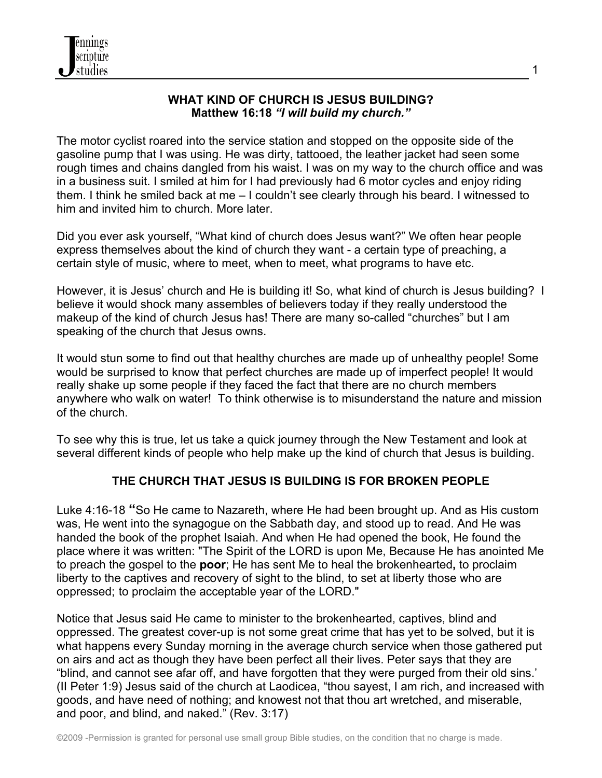### **WHAT KIND OF CHURCH IS JESUS BUILDING? Matthew 16:18** *"I will build my church."*

1

The motor cyclist roared into the service station and stopped on the opposite side of the gasoline pump that I was using. He was dirty, tattooed, the leather jacket had seen some rough times and chains dangled from his waist. I was on my way to the church office and was in a business suit. I smiled at him for I had previously had 6 motor cycles and enjoy riding them. I think he smiled back at me – I couldn't see clearly through his beard. I witnessed to him and invited him to church. More later.

Did you ever ask yourself, "What kind of church does Jesus want?" We often hear people express themselves about the kind of church they want - a certain type of preaching, a certain style of music, where to meet, when to meet, what programs to have etc.

However, it is Jesus' church and He is building it! So, what kind of church is Jesus building? I believe it would shock many assembles of believers today if they really understood the makeup of the kind of church Jesus has! There are many so-called "churches" but I am speaking of the church that Jesus owns.

It would stun some to find out that healthy churches are made up of unhealthy people! Some would be surprised to know that perfect churches are made up of imperfect people! It would really shake up some people if they faced the fact that there are no church members anywhere who walk on water! To think otherwise is to misunderstand the nature and mission of the church.

To see why this is true, let us take a quick journey through the New Testament and look at several different kinds of people who help make up the kind of church that Jesus is building.

# **THE CHURCH THAT JESUS IS BUILDING IS FOR BROKEN PEOPLE**

Luke 4:16-18 **"**So He came to Nazareth, where He had been brought up. And as His custom was, He went into the synagogue on the Sabbath day, and stood up to read. And He was handed the book of the prophet Isaiah. And when He had opened the book, He found the place where it was written: "The Spirit of the LORD is upon Me, Because He has anointed Me to preach the gospel to the **poor**; He has sent Me to heal the brokenhearted**,** to proclaim liberty to the captives and recovery of sight to the blind, to set at liberty those who are oppressed; to proclaim the acceptable year of the LORD."

Notice that Jesus said He came to minister to the brokenhearted, captives, blind and oppressed. The greatest cover-up is not some great crime that has yet to be solved, but it is what happens every Sunday morning in the average church service when those gathered put on airs and act as though they have been perfect all their lives. Peter says that they are "blind, and cannot see afar off, and have forgotten that they were purged from their old sins.' (II Peter 1:9) Jesus said of the church at Laodicea, "thou sayest, I am rich, and increased with goods, and have need of nothing; and knowest not that thou art wretched, and miserable, and poor, and blind, and naked." (Rev. 3:17)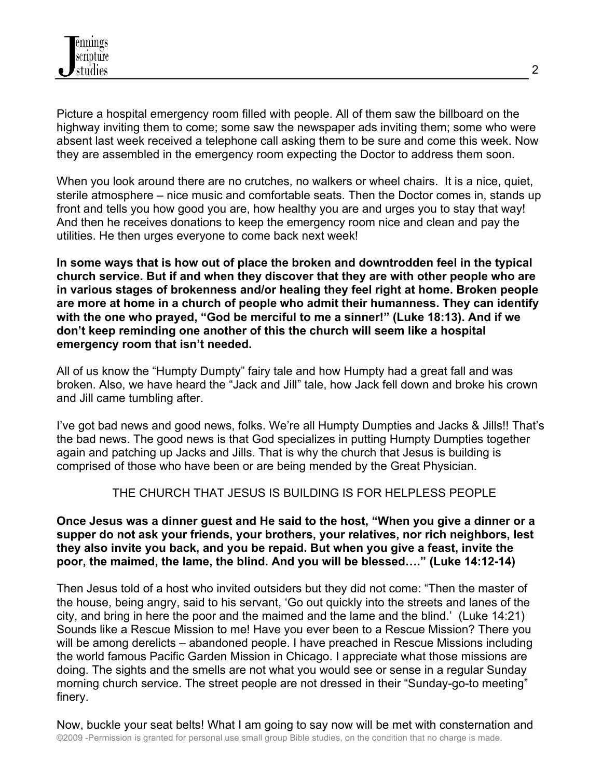Picture a hospital emergency room filled with people. All of them saw the billboard on the highway inviting them to come; some saw the newspaper ads inviting them; some who were absent last week received a telephone call asking them to be sure and come this week. Now they are assembled in the emergency room expecting the Doctor to address them soon.

When you look around there are no crutches, no walkers or wheel chairs. It is a nice, quiet, sterile atmosphere – nice music and comfortable seats. Then the Doctor comes in, stands up front and tells you how good you are, how healthy you are and urges you to stay that way! And then he receives donations to keep the emergency room nice and clean and pay the utilities. He then urges everyone to come back next week!

**In some ways that is how out of place the broken and downtrodden feel in the typical church service. But if and when they discover that they are with other people who are in various stages of brokenness and/or healing they feel right at home. Broken people are more at home in a church of people who admit their humanness. They can identify with the one who prayed, "God be merciful to me a sinner!" (Luke 18:13). And if we don't keep reminding one another of this the church will seem like a hospital emergency room that isn't needed.**

All of us know the "Humpty Dumpty" fairy tale and how Humpty had a great fall and was broken. Also, we have heard the "Jack and Jill" tale, how Jack fell down and broke his crown and Jill came tumbling after.

I've got bad news and good news, folks. We're all Humpty Dumpties and Jacks & Jills!! That's the bad news. The good news is that God specializes in putting Humpty Dumpties together again and patching up Jacks and Jills. That is why the church that Jesus is building is comprised of those who have been or are being mended by the Great Physician.

## THE CHURCH THAT JESUS IS BUILDING IS FOR HELPLESS PEOPLE

#### **Once Jesus was a dinner guest and He said to the host, "When you give a dinner or a supper do not ask your friends, your brothers, your relatives, nor rich neighbors, lest they also invite you back, and you be repaid. But when you give a feast, invite the poor, the maimed, the lame, the blind. And you will be blessed…." (Luke 14:12-14)**

Then Jesus told of a host who invited outsiders but they did not come: "Then the master of the house, being angry, said to his servant, 'Go out quickly into the streets and lanes of the city, and bring in here the poor and the maimed and the lame and the blind.' (Luke 14:21) Sounds like a Rescue Mission to me! Have you ever been to a Rescue Mission? There you will be among derelicts – abandoned people. I have preached in Rescue Missions including the world famous Pacific Garden Mission in Chicago. I appreciate what those missions are doing. The sights and the smells are not what you would see or sense in a regular Sunday morning church service. The street people are not dressed in their "Sunday-go-to meeting" finery.

©2009 -Permission is granted for personal use small group Bible studies, on the condition that no charge is made. Now, buckle your seat belts! What I am going to say now will be met with consternation and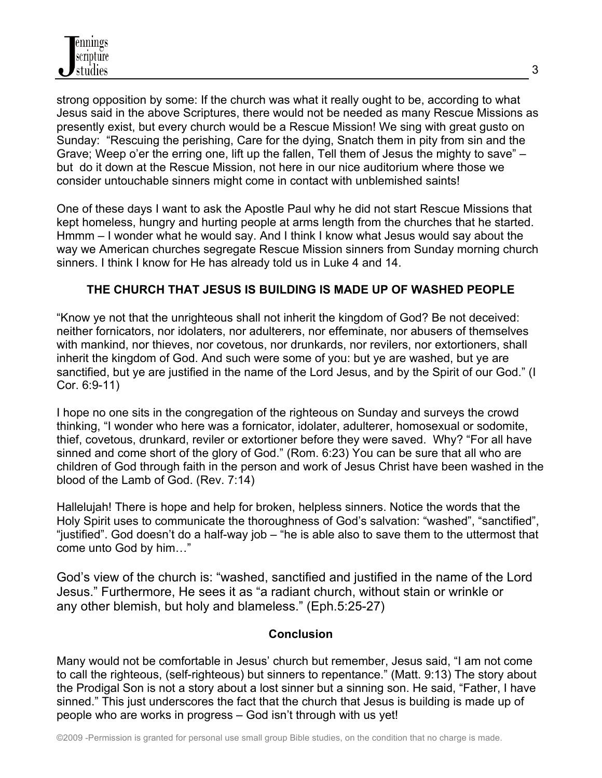strong opposition by some: If the church was what it really ought to be, according to what Jesus said in the above Scriptures, there would not be needed as many Rescue Missions as presently exist, but every church would be a Rescue Mission! We sing with great gusto on Sunday: "Rescuing the perishing, Care for the dying, Snatch them in pity from sin and the Grave; Weep o'er the erring one, lift up the fallen, Tell them of Jesus the mighty to save" – but do it down at the Rescue Mission, not here in our nice auditorium where those we consider untouchable sinners might come in contact with unblemished saints!

One of these days I want to ask the Apostle Paul why he did not start Rescue Missions that kept homeless, hungry and hurting people at arms length from the churches that he started. Hmmm – I wonder what he would say. And I think I know what Jesus would say about the way we American churches segregate Rescue Mission sinners from Sunday morning church sinners. I think I know for He has already told us in Luke 4 and 14.

## **THE CHURCH THAT JESUS IS BUILDING IS MADE UP OF WASHED PEOPLE**

"Know ye not that the unrighteous shall not inherit the kingdom of God? Be not deceived: neither fornicators, nor idolaters, nor adulterers, nor effeminate, nor abusers of themselves with mankind, nor thieves, nor covetous, nor drunkards, nor revilers, nor extortioners, shall inherit the kingdom of God. And such were some of you: but ye are washed, but ye are sanctified, but ye are justified in the name of the Lord Jesus, and by the Spirit of our God." (I Cor. 6:9-11)

I hope no one sits in the congregation of the righteous on Sunday and surveys the crowd thinking, "I wonder who here was a fornicator, idolater, adulterer, homosexual or sodomite, thief, covetous, drunkard, reviler or extortioner before they were saved. Why? "For all have sinned and come short of the glory of God." (Rom. 6:23) You can be sure that all who are children of God through faith in the person and work of Jesus Christ have been washed in the blood of the Lamb of God. (Rev. 7:14)

Hallelujah! There is hope and help for broken, helpless sinners. Notice the words that the Holy Spirit uses to communicate the thoroughness of God's salvation: "washed", "sanctified", "justified". God doesn't do a half-way job – "he is able also to save them to the uttermost that come unto God by him…"

God's view of the church is: "washed, sanctified and justified in the name of the Lord Jesus." Furthermore, He sees it as "a radiant church, without stain or wrinkle or any other blemish, but holy and blameless." (Eph.5:25-27)

#### **Conclusion**

Many would not be comfortable in Jesus' church but remember, Jesus said, "I am not come to call the righteous, (self-righteous) but sinners to repentance." (Matt. 9:13) The story about the Prodigal Son is not a story about a lost sinner but a sinning son. He said, "Father, I have sinned." This just underscores the fact that the church that Jesus is building is made up of people who are works in progress – God isn't through with us yet!